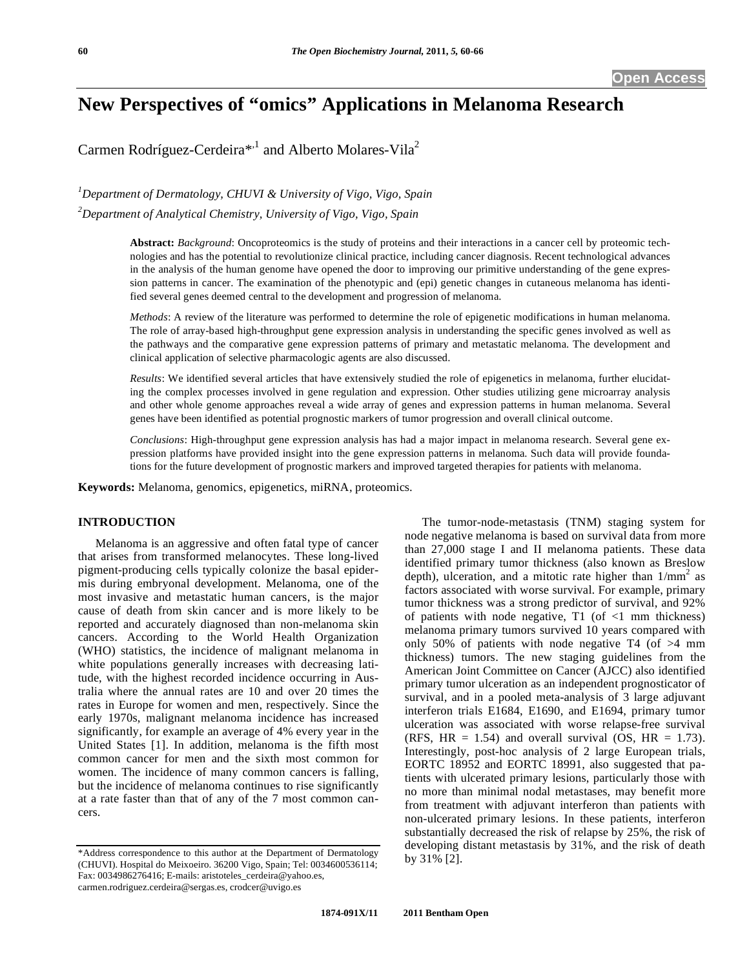# **New Perspectives of "omics" Applications in Melanoma Research**

Carmen Rodríguez-Cerdeira<sup>\*,1</sup> and Alberto Molares-Vila<sup>2</sup>

*1 Department of Dermatology, CHUVI & University of Vigo, Vigo, Spain 2 Department of Analytical Chemistry, University of Vigo, Vigo, Spain* 

> **Abstract:** *Background*: Oncoproteomics is the study of proteins and their interactions in a cancer cell by proteomic technologies and has the potential to revolutionize clinical practice, including cancer diagnosis. Recent technological advances in the analysis of the human genome have opened the door to improving our primitive understanding of the gene expression patterns in cancer. The examination of the phenotypic and (epi) genetic changes in cutaneous melanoma has identified several genes deemed central to the development and progression of melanoma.

> *Methods*: A review of the literature was performed to determine the role of epigenetic modifications in human melanoma. The role of array-based high-throughput gene expression analysis in understanding the specific genes involved as well as the pathways and the comparative gene expression patterns of primary and metastatic melanoma. The development and clinical application of selective pharmacologic agents are also discussed.

> *Results*: We identified several articles that have extensively studied the role of epigenetics in melanoma, further elucidating the complex processes involved in gene regulation and expression. Other studies utilizing gene microarray analysis and other whole genome approaches reveal a wide array of genes and expression patterns in human melanoma. Several genes have been identified as potential prognostic markers of tumor progression and overall clinical outcome.

> *Conclusions*: High-throughput gene expression analysis has had a major impact in melanoma research. Several gene expression platforms have provided insight into the gene expression patterns in melanoma. Such data will provide foundations for the future development of prognostic markers and improved targeted therapies for patients with melanoma.

**Keywords:** Melanoma, genomics, epigenetics, miRNA, proteomics.

## **INTRODUCTION**

 Melanoma is an aggressive and often fatal type of cancer that arises from transformed melanocytes. These long-lived pigment-producing cells typically colonize the basal epidermis during embryonal development. Melanoma, one of the most invasive and metastatic human cancers, is the major cause of death from skin cancer and is more likely to be reported and accurately diagnosed than non-melanoma skin cancers. According to the World Health Organization (WHO) statistics, the incidence of malignant melanoma in white populations generally increases with decreasing latitude, with the highest recorded incidence occurring in Australia where the annual rates are 10 and over 20 times the rates in Europe for women and men, respectively. Since the early 1970s, malignant melanoma incidence has increased significantly, for example an average of 4% every year in the United States [1]. In addition, melanoma is the fifth most common cancer for men and the sixth most common for women. The incidence of many common cancers is falling, but the incidence of melanoma continues to rise significantly at a rate faster than that of any of the 7 most common cancers.

 The tumor-node-metastasis (TNM) staging system for node negative melanoma is based on survival data from more than 27,000 stage I and II melanoma patients. These data identified primary tumor thickness (also known as Breslow depth), ulceration, and a mitotic rate higher than  $1/mm^2$  as factors associated with worse survival. For example, primary tumor thickness was a strong predictor of survival, and 92% of patients with node negative,  $T1$  (of  $\langle 1 \rangle$  mm thickness) melanoma primary tumors survived 10 years compared with only 50% of patients with node negative T4 (of >4 mm thickness) tumors. The new staging guidelines from the American Joint Committee on Cancer (AJCC) also identified primary tumor ulceration as an independent prognosticator of survival, and in a pooled meta-analysis of 3 large adjuvant interferon trials E1684, E1690, and E1694, primary tumor ulceration was associated with worse relapse-free survival (RFS, HR = 1.54) and overall survival (OS, HR = 1.73). Interestingly, post-hoc analysis of 2 large European trials, EORTC 18952 and EORTC 18991, also suggested that patients with ulcerated primary lesions, particularly those with no more than minimal nodal metastases, may benefit more from treatment with adjuvant interferon than patients with non-ulcerated primary lesions. In these patients, interferon substantially decreased the risk of relapse by 25%, the risk of developing distant metastasis by 31%, and the risk of death by 31% [2].

<sup>\*</sup>Address correspondence to this author at the Department of Dermatology (CHUVI). Hospital do Meixoeiro. 36200 Vigo, Spain; Tel: 0034600536114; Fax: 0034986276416; E-mails: aristoteles\_cerdeira@yahoo.es, carmen.rodriguez.cerdeira@sergas.es, crodcer@uvigo.es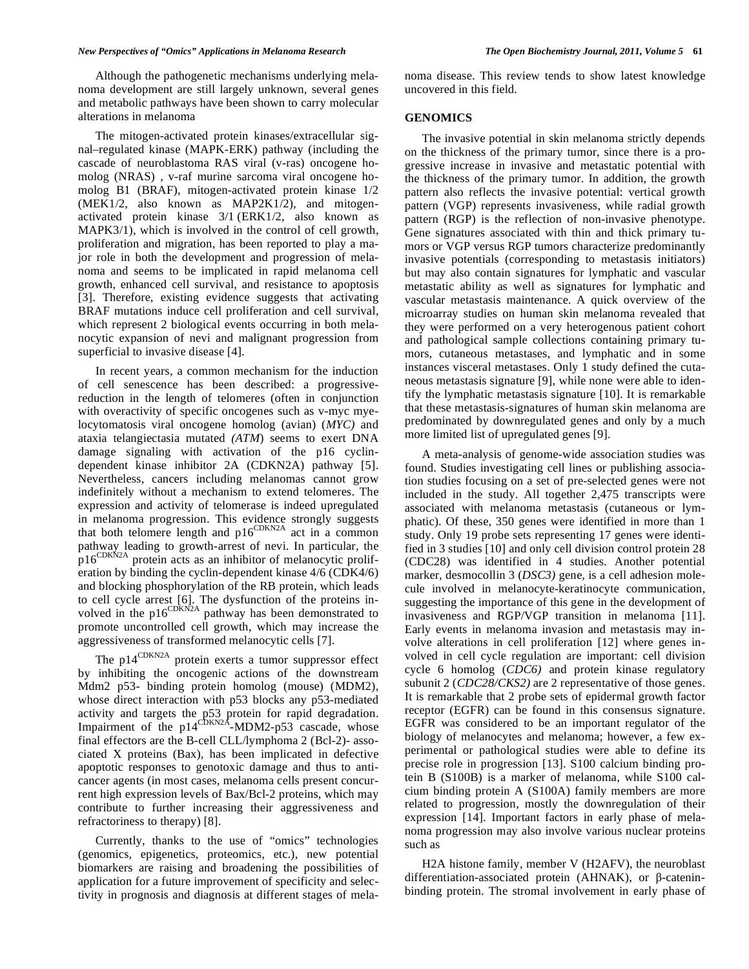#### *New Perspectives of "Omics" Applications in Melanoma Research The Open Biochemistry Journal, 2011, Volume 5* **61**

 Although the pathogenetic mechanisms underlying melanoma development are still largely unknown, several genes and metabolic pathways have been shown to carry molecular alterations in melanoma

 The mitogen-activated protein kinases/extracellular signal–regulated kinase (MAPK-ERK) pathway (including the cascade of neuroblastoma RAS viral (v-ras) oncogene homolog (NRAS) , v-raf murine sarcoma viral oncogene homolog B1 (BRAF), mitogen-activated protein kinase 1/2 (MEK1/2, also known as MAP2K1/2), and mitogenactivated protein kinase 3/1 (ERK1/2, also known as MAPK3/1), which is involved in the control of cell growth, proliferation and migration, has been reported to play a major role in both the development and progression of melanoma and seems to be implicated in rapid melanoma cell growth, enhanced cell survival, and resistance to apoptosis [3]. Therefore, existing evidence suggests that activating BRAF mutations induce cell proliferation and cell survival, which represent 2 biological events occurring in both melanocytic expansion of nevi and malignant progression from superficial to invasive disease [4].

 In recent years, a common mechanism for the induction of cell senescence has been described: a progressivereduction in the length of telomeres (often in conjunction with overactivity of specific oncogenes such as v-myc myelocytomatosis viral oncogene homolog (avian) (*MYC)* and ataxia telangiectasia mutated *(ATM*) seems to exert DNA damage signaling with activation of the p16 cyclindependent kinase inhibitor 2A (CDKN2A) pathway [5]. Nevertheless, cancers including melanomas cannot grow indefinitely without a mechanism to extend telomeres. The expression and activity of telomerase is indeed upregulated in melanoma progression. This evidence strongly suggests that both telomere length and  $p16^{\text{CDKN2A}}$  act in a common pathway leading to growth-arrest of nevi. In particular, the p16CDKN2A protein acts as an inhibitor of melanocytic proliferation by binding the cyclin-dependent kinase 4/6 (CDK4/6) and blocking phosphorylation of the RB protein, which leads to cell cycle arrest [6]. The dysfunction of the proteins involved in the  $p16^{\text{CDKN2A}}$  pathway has been demonstrated to promote uncontrolled cell growth, which may increase the aggressiveness of transformed melanocytic cells [7].

The p14<sup>CDKN2A</sup> protein exerts a tumor suppressor effect by inhibiting the oncogenic actions of the downstream Mdm2 p53- binding protein homolog (mouse) (MDM2), whose direct interaction with p53 blocks any p53-mediated activity and targets the p53 protein for rapid degradation. Impairment of the p14<sup>CDKN2A</sup>-MDM2-p53 cascade, whose final effectors are the B-cell CLL/lymphoma 2 (Bcl-2)- associated X proteins (Bax), has been implicated in defective apoptotic responses to genotoxic damage and thus to anticancer agents (in most cases, melanoma cells present concurrent high expression levels of Bax/Bcl-2 proteins, which may contribute to further increasing their aggressiveness and refractoriness to therapy) [8].

 Currently, thanks to the use of "omics" technologies (genomics, epigenetics, proteomics, etc.), new potential biomarkers are raising and broadening the possibilities of application for a future improvement of specificity and selectivity in prognosis and diagnosis at different stages of melanoma disease. This review tends to show latest knowledge uncovered in this field.

## **GENOMICS**

 The invasive potential in skin melanoma strictly depends on the thickness of the primary tumor, since there is a progressive increase in invasive and metastatic potential with the thickness of the primary tumor. In addition, the growth pattern also reflects the invasive potential: vertical growth pattern (VGP) represents invasiveness, while radial growth pattern (RGP) is the reflection of non-invasive phenotype. Gene signatures associated with thin and thick primary tumors or VGP versus RGP tumors characterize predominantly invasive potentials (corresponding to metastasis initiators) but may also contain signatures for lymphatic and vascular metastatic ability as well as signatures for lymphatic and vascular metastasis maintenance. A quick overview of the microarray studies on human skin melanoma revealed that they were performed on a very heterogenous patient cohort and pathological sample collections containing primary tumors, cutaneous metastases, and lymphatic and in some instances visceral metastases. Only 1 study defined the cutaneous metastasis signature [9], while none were able to identify the lymphatic metastasis signature [10]. It is remarkable that these metastasis-signatures of human skin melanoma are predominated by downregulated genes and only by a much more limited list of upregulated genes [9].

 A meta-analysis of genome-wide association studies was found. Studies investigating cell lines or publishing association studies focusing on a set of pre-selected genes were not included in the study. All together 2,475 transcripts were associated with melanoma metastasis (cutaneous or lymphatic). Of these, 350 genes were identified in more than 1 study. Only 19 probe sets representing 17 genes were identified in 3 studies [10] and only cell division control protein 28 (CDC28) was identified in 4 studies. Another potential marker, desmocollin 3 (*DSC3)* gene, is a cell adhesion molecule involved in melanocyte-keratinocyte communication, suggesting the importance of this gene in the development of invasiveness and RGP/VGP transition in melanoma [11]. Early events in melanoma invasion and metastasis may involve alterations in cell proliferation [12] where genes involved in cell cycle regulation are important: cell division cycle 6 homolog (*CDC6)* and protein kinase regulatory subunit 2 (*CDC28/CKS2)* are 2 representative of those genes. It is remarkable that 2 probe sets of epidermal growth factor receptor (EGFR) can be found in this consensus signature. EGFR was considered to be an important regulator of the biology of melanocytes and melanoma; however, a few experimental or pathological studies were able to define its precise role in progression [13]. S100 calcium binding protein B (S100B) is a marker of melanoma, while S100 calcium binding protein A (S100A) family members are more related to progression, mostly the downregulation of their expression [14]. Important factors in early phase of melanoma progression may also involve various nuclear proteins such as

 H2A histone family, member V (H2AFV), the neuroblast differentiation-associated protein (AHNAK), or  $\beta$ -cateninbinding protein. The stromal involvement in early phase of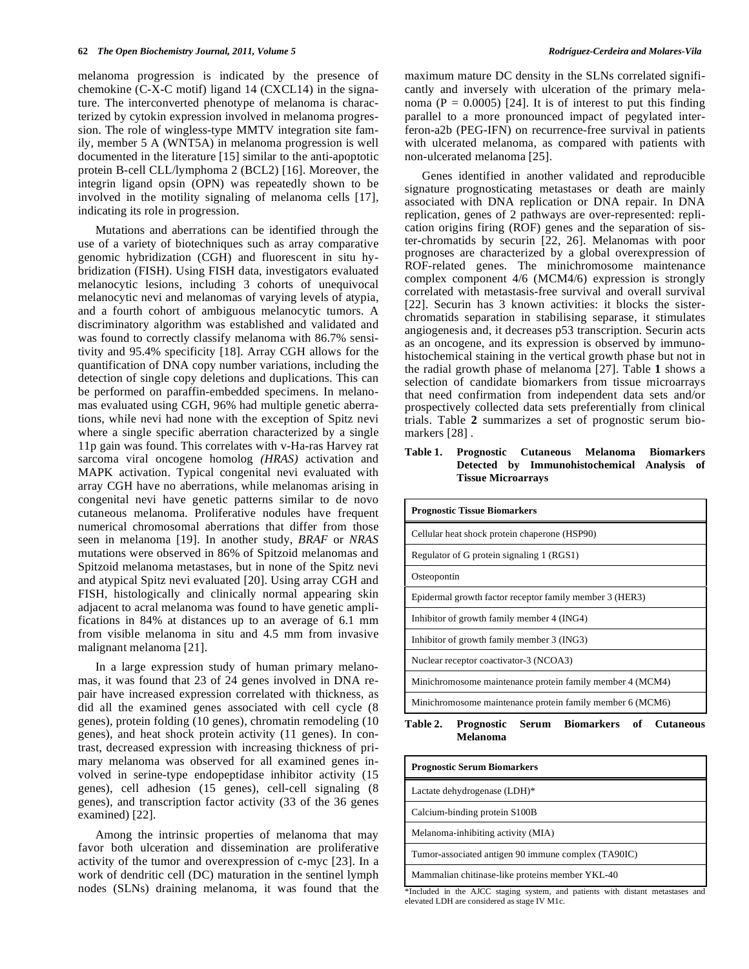melanoma progression is indicated by the presence of chemokine (C-X-C motif) ligand 14 (CXCL14) in the signature. The interconverted phenotype of melanoma is characterized by cytokin expression involved in melanoma progression. The role of wingless-type MMTV integration site family, member 5 A (WNT5A) in melanoma progression is well documented in the literature [15] similar to the anti-apoptotic protein B-cell CLL/lymphoma 2 (BCL2) [16]. Moreover, the integrin ligand opsin (OPN) was repeatedly shown to be involved in the motility signaling of melanoma cells [17], indicating its role in progression.

 Mutations and aberrations can be identified through the use of a variety of biotechniques such as array comparative genomic hybridization (CGH) and fluorescent in situ hybridization (FISH). Using FISH data, investigators evaluated melanocytic lesions, including 3 cohorts of unequivocal melanocytic nevi and melanomas of varying levels of atypia, and a fourth cohort of ambiguous melanocytic tumors. A discriminatory algorithm was established and validated and was found to correctly classify melanoma with 86.7% sensitivity and 95.4% specificity [18]. Array CGH allows for the quantification of DNA copy number variations, including the detection of single copy deletions and duplications. This can be performed on paraffin-embedded specimens. In melanomas evaluated using CGH, 96% had multiple genetic aberrations, while nevi had none with the exception of Spitz nevi where a single specific aberration characterized by a single 11p gain was found. This correlates with v-Ha-ras Harvey rat sarcoma viral oncogene homolog *(HRAS)* activation and MAPK activation. Typical congenital nevi evaluated with array CGH have no aberrations, while melanomas arising in congenital nevi have genetic patterns similar to de novo cutaneous melanoma. Proliferative nodules have frequent numerical chromosomal aberrations that differ from those seen in melanoma [19]. In another study, *BRAF* or *NRAS* mutations were observed in 86% of Spitzoid melanomas and Spitzoid melanoma metastases, but in none of the Spitz nevi and atypical Spitz nevi evaluated [20]. Using array CGH and FISH, histologically and clinically normal appearing skin adjacent to acral melanoma was found to have genetic amplifications in 84% at distances up to an average of 6.1 mm from visible melanoma in situ and 4.5 mm from invasive malignant melanoma [21].

 In a large expression study of human primary melanomas, it was found that 23 of 24 genes involved in DNA repair have increased expression correlated with thickness, as did all the examined genes associated with cell cycle (8 genes), protein folding (10 genes), chromatin remodeling (10 genes), and heat shock protein activity (11 genes). In contrast, decreased expression with increasing thickness of primary melanoma was observed for all examined genes involved in serine-type endopeptidase inhibitor activity (15 genes), cell adhesion (15 genes), cell-cell signaling (8 genes), and transcription factor activity (33 of the 36 genes examined) [22].

 Among the intrinsic properties of melanoma that may favor both ulceration and dissemination are proliferative activity of the tumor and overexpression of c-myc [23]. In a work of dendritic cell (DC) maturation in the sentinel lymph nodes (SLNs) draining melanoma, it was found that the

maximum mature DC density in the SLNs correlated significantly and inversely with ulceration of the primary melanoma ( $P = 0.0005$ ) [24]. It is of interest to put this finding parallel to a more pronounced impact of pegylated interferon-a2b (PEG-IFN) on recurrence-free survival in patients with ulcerated melanoma, as compared with patients with non-ulcerated melanoma [25].

 Genes identified in another validated and reproducible signature prognosticating metastases or death are mainly associated with DNA replication or DNA repair. In DNA replication, genes of 2 pathways are over-represented: replication origins firing (ROF) genes and the separation of sister-chromatids by securin [22, 26]. Melanomas with poor prognoses are characterized by a global overexpression of ROF-related genes. The minichromosome maintenance complex component 4/6 (MCM4/6) expression is strongly correlated with metastasis-free survival and overall survival [22]. Securin has 3 known activities: it blocks the sisterchromatids separation in stabilising separase, it stimulates angiogenesis and, it decreases p53 transcription. Securin acts as an oncogene, and its expression is observed by immunohistochemical staining in the vertical growth phase but not in the radial growth phase of melanoma [27]. Table **1** shows a selection of candidate biomarkers from tissue microarrays that need confirmation from independent data sets and/or prospectively collected data sets preferentially from clinical trials. Table **2** summarizes a set of prognostic serum biomarkers [28] .

# **Table 1. Prognostic Cutaneous Melanoma Biomarkers Detected by Immunohistochemical Analysis of Tissue Microarrays**

| <b>Prognostic Tissue Biomarkers</b>                                                         |
|---------------------------------------------------------------------------------------------|
| Cellular heat shock protein chaperone (HSP90)                                               |
| Regulator of G protein signaling 1 (RGS1)                                                   |
| Osteopontin                                                                                 |
| Epidermal growth factor receptor family member 3 (HER3)                                     |
| Inhibitor of growth family member 4 (ING4)                                                  |
| Inhibitor of growth family member 3 (ING3)                                                  |
| Nuclear receptor coactivator-3 (NCOA3)                                                      |
| Minichromosome maintenance protein family member 4 (MCM4)                                   |
| Minichromosome maintenance protein family member 6 (MCM6)                                   |
| Serum Biomarkers of<br><b>Table 2.</b><br><b>Cutaneous</b><br><b>Prognostic</b><br>Melanoma |

| <b>Prognostic Serum Biomarkers</b>                                                                                                                                                                                                                                                                                                                                                                                                                                  |
|---------------------------------------------------------------------------------------------------------------------------------------------------------------------------------------------------------------------------------------------------------------------------------------------------------------------------------------------------------------------------------------------------------------------------------------------------------------------|
| Lactate dehydrogenase (LDH)*                                                                                                                                                                                                                                                                                                                                                                                                                                        |
| Calcium-binding protein S100B                                                                                                                                                                                                                                                                                                                                                                                                                                       |
| Melanoma-inhibiting activity (MIA)                                                                                                                                                                                                                                                                                                                                                                                                                                  |
| Tumor-associated antigen 90 immune complex (TA90IC)                                                                                                                                                                                                                                                                                                                                                                                                                 |
| Mammalian chitinase-like proteins member YKL-40                                                                                                                                                                                                                                                                                                                                                                                                                     |
| $\mathbf{r}$ , and the second contract of the second contract of the second contract of the second contract of the second contract of the second contract of the second contract of the second contract of the second contract of<br>the state of the state of the state of the state of the state of the state of the state of the state of the state of the state of the state of the state of the state of the state of the state of the state of the state of t |

\*Included in the AJCC staging system, and patients with distant metastases and elevated LDH are considered as stage IV M1c.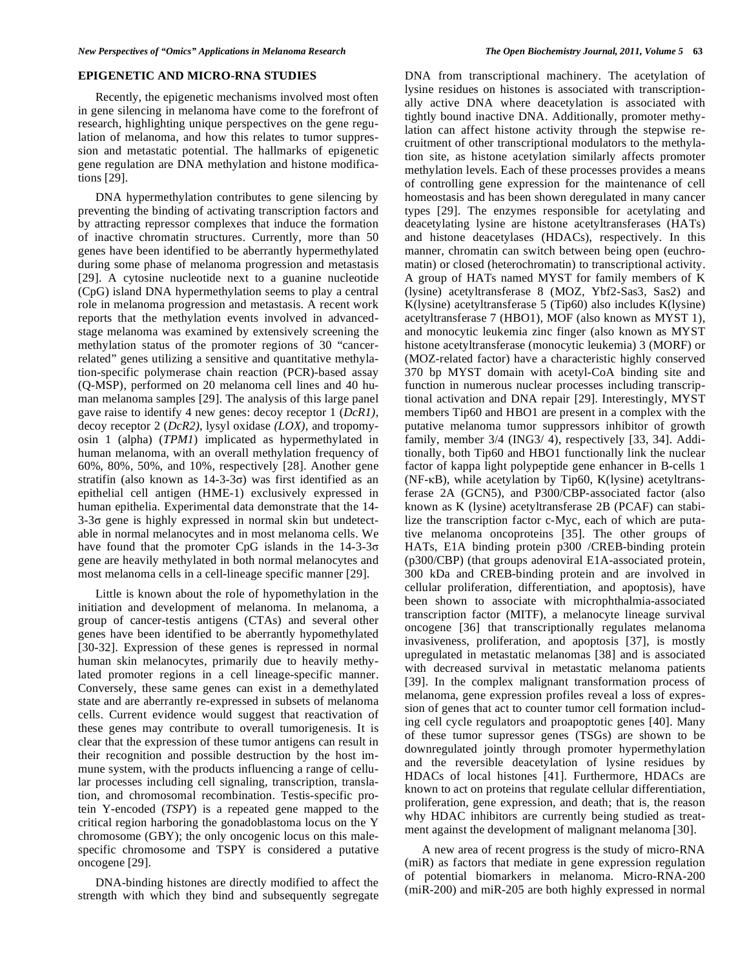### **EPIGENETIC AND MICRO-RNA STUDIES**

 Recently, the epigenetic mechanisms involved most often in gene silencing in melanoma have come to the forefront of research, highlighting unique perspectives on the gene regulation of melanoma, and how this relates to tumor suppression and metastatic potential. The hallmarks of epigenetic gene regulation are DNA methylation and histone modifications [29].

 DNA hypermethylation contributes to gene silencing by preventing the binding of activating transcription factors and by attracting repressor complexes that induce the formation of inactive chromatin structures. Currently, more than 50 genes have been identified to be aberrantly hypermethylated during some phase of melanoma progression and metastasis [29]. A cytosine nucleotide next to a guanine nucleotide (CpG) island DNA hypermethylation seems to play a central role in melanoma progression and metastasis. A recent work reports that the methylation events involved in advancedstage melanoma was examined by extensively screening the methylation status of the promoter regions of 30 "cancerrelated" genes utilizing a sensitive and quantitative methylation-specific polymerase chain reaction (PCR)-based assay (Q-MSP), performed on 20 melanoma cell lines and 40 human melanoma samples [29]. The analysis of this large panel gave raise to identify 4 new genes: decoy receptor 1 (*DcR1)*, decoy receptor 2 (*DcR2)*, lysyl oxidase *(LOX)*, and tropomyosin 1 (alpha) (*TPM1*) implicated as hypermethylated in human melanoma, with an overall methylation frequency of 60%, 80%, 50%, and 10%, respectively [28]. Another gene stratifin (also known as  $14-3-3\sigma$ ) was first identified as an epithelial cell antigen (HME-1) exclusively expressed in human epithelia. Experimental data demonstrate that the 14-  $3-3\sigma$  gene is highly expressed in normal skin but undetectable in normal melanocytes and in most melanoma cells. We have found that the promoter CpG islands in the  $14-3-3\sigma$ gene are heavily methylated in both normal melanocytes and most melanoma cells in a cell-lineage specific manner [29].

 Little is known about the role of hypomethylation in the initiation and development of melanoma. In melanoma, a group of cancer-testis antigens (CTAs) and several other genes have been identified to be aberrantly hypomethylated [30-32]. Expression of these genes is repressed in normal human skin melanocytes, primarily due to heavily methylated promoter regions in a cell lineage-specific manner. Conversely, these same genes can exist in a demethylated state and are aberrantly re-expressed in subsets of melanoma cells. Current evidence would suggest that reactivation of these genes may contribute to overall tumorigenesis. It is clear that the expression of these tumor antigens can result in their recognition and possible destruction by the host immune system, with the products influencing a range of cellular processes including cell signaling, transcription, translation, and chromosomal recombination. Testis-specific protein Y-encoded (*TSPY*) is a repeated gene mapped to the critical region harboring the gonadoblastoma locus on the Y chromosome (GBY); the only oncogenic locus on this malespecific chromosome and TSPY is considered a putative oncogene [29].

 DNA-binding histones are directly modified to affect the strength with which they bind and subsequently segregate DNA from transcriptional machinery. The acetylation of lysine residues on histones is associated with transcriptionally active DNA where deacetylation is associated with tightly bound inactive DNA. Additionally, promoter methylation can affect histone activity through the stepwise recruitment of other transcriptional modulators to the methylation site, as histone acetylation similarly affects promoter methylation levels. Each of these processes provides a means of controlling gene expression for the maintenance of cell homeostasis and has been shown deregulated in many cancer types [29]. The enzymes responsible for acetylating and deacetylating lysine are histone acetyltransferases (HATs) and histone deacetylases (HDACs), respectively. In this manner, chromatin can switch between being open (euchromatin) or closed (heterochromatin) to transcriptional activity. A group of HATs named MYST for family members of K (lysine) acetyltransferase 8 (MOZ, Ybf2-Sas3, Sas2) and K(lysine) acetyltransferase 5 (Tip60) also includes K(lysine) acetyltransferase 7 (HBO1), MOF (also known as MYST 1), and monocytic leukemia zinc finger (also known as MYST histone acetyltransferase (monocytic leukemia) 3 (MORF) or (MOZ-related factor) have a characteristic highly conserved 370 bp MYST domain with acetyl-CoA binding site and function in numerous nuclear processes including transcriptional activation and DNA repair [29]. Interestingly, MYST members Tip60 and HBO1 are present in a complex with the putative melanoma tumor suppressors inhibitor of growth family, member 3/4 (ING3/ 4), respectively [33, 34]. Additionally, both Tip60 and HBO1 functionally link the nuclear factor of kappa light polypeptide gene enhancer in B-cells 1 (NF-KB), while acetylation by Tip60, K(lysine) acetyltransferase 2A (GCN5), and P300/CBP-associated factor (also known as K (lysine) acetyltransferase 2B (PCAF) can stabilize the transcription factor c-Myc, each of which are putative melanoma oncoproteins [35]. The other groups of HATs, E1A binding protein p300 /CREB-binding protein (p300/CBP) (that groups adenoviral E1A-associated protein, 300 kDa and CREB-binding protein and are involved in cellular proliferation, differentiation, and apoptosis), have been shown to associate with microphthalmia-associated transcription factor (MITF), a melanocyte lineage survival oncogene [36] that transcriptionally regulates melanoma invasiveness, proliferation, and apoptosis [37], is mostly upregulated in metastatic melanomas [38] and is associated with decreased survival in metastatic melanoma patients [39]. In the complex malignant transformation process of melanoma, gene expression profiles reveal a loss of expression of genes that act to counter tumor cell formation including cell cycle regulators and proapoptotic genes [40]. Many of these tumor supressor genes (TSGs) are shown to be downregulated jointly through promoter hypermethylation and the reversible deacetylation of lysine residues by HDACs of local histones [41]. Furthermore, HDACs are known to act on proteins that regulate cellular differentiation, proliferation, gene expression, and death; that is, the reason why HDAC inhibitors are currently being studied as treatment against the development of malignant melanoma [30].

 A new area of recent progress is the study of micro-RNA (miR) as factors that mediate in gene expression regulation of potential biomarkers in melanoma. Micro-RNA-200 (miR-200) and miR-205 are both highly expressed in normal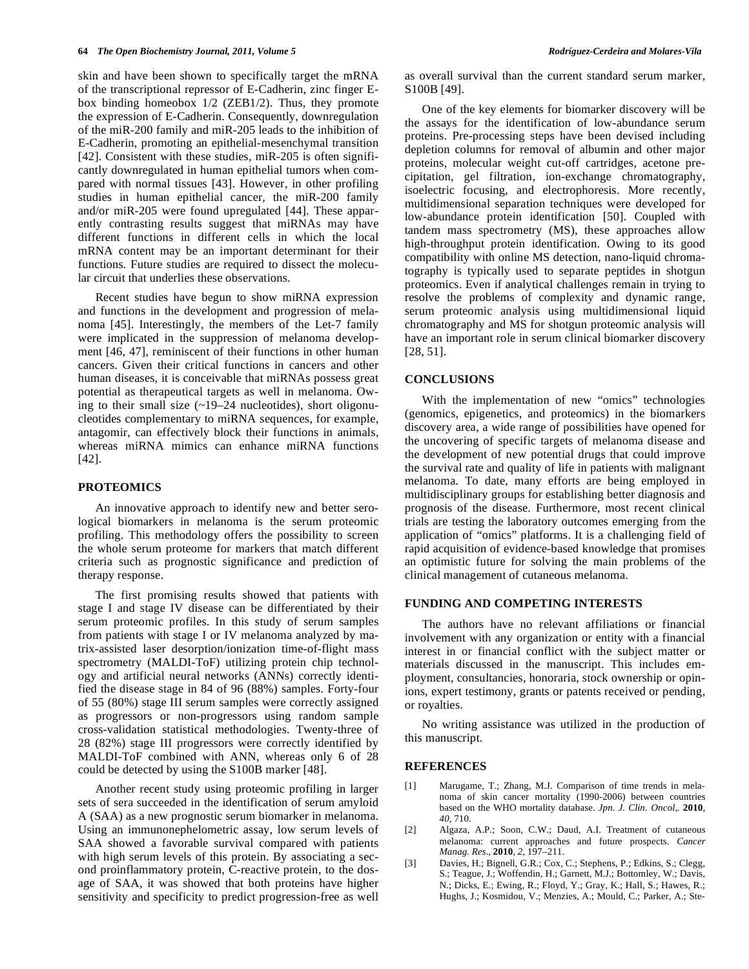skin and have been shown to specifically target the mRNA of the transcriptional repressor of E-Cadherin, zinc finger Ebox binding homeobox 1/2 (ZEB1/2). Thus, they promote the expression of E-Cadherin. Consequently, downregulation of the miR-200 family and miR-205 leads to the inhibition of E-Cadherin, promoting an epithelial-mesenchymal transition [42]. Consistent with these studies, miR-205 is often significantly downregulated in human epithelial tumors when compared with normal tissues [43]. However, in other profiling studies in human epithelial cancer, the miR-200 family and/or miR-205 were found upregulated [44]. These apparently contrasting results suggest that miRNAs may have different functions in different cells in which the local mRNA content may be an important determinant for their functions. Future studies are required to dissect the molecular circuit that underlies these observations.

 Recent studies have begun to show miRNA expression and functions in the development and progression of melanoma [45]. Interestingly, the members of the Let-7 family were implicated in the suppression of melanoma development [46, 47], reminiscent of their functions in other human cancers. Given their critical functions in cancers and other human diseases, it is conceivable that miRNAs possess great potential as therapeutical targets as well in melanoma. Owing to their small size  $(-19-24$  nucleotides), short oligonucleotides complementary to miRNA sequences, for example, antagomir, can effectively block their functions in animals, whereas miRNA mimics can enhance miRNA functions [42].

#### **PROTEOMICS**

 An innovative approach to identify new and better serological biomarkers in melanoma is the serum proteomic profiling. This methodology offers the possibility to screen the whole serum proteome for markers that match different criteria such as prognostic significance and prediction of therapy response.

 The first promising results showed that patients with stage I and stage IV disease can be differentiated by their serum proteomic profiles. In this study of serum samples from patients with stage I or IV melanoma analyzed by matrix-assisted laser desorption/ionization time-of-flight mass spectrometry (MALDI-ToF) utilizing protein chip technology and artificial neural networks (ANNs) correctly identified the disease stage in 84 of 96 (88%) samples. Forty-four of 55 (80%) stage III serum samples were correctly assigned as progressors or non-progressors using random sample cross-validation statistical methodologies. Twenty-three of 28 (82%) stage III progressors were correctly identified by MALDI-ToF combined with ANN, whereas only 6 of 28 could be detected by using the S100B marker [48].

 Another recent study using proteomic profiling in larger sets of sera succeeded in the identification of serum amyloid A (SAA) as a new prognostic serum biomarker in melanoma. Using an immunonephelometric assay, low serum levels of SAA showed a favorable survival compared with patients with high serum levels of this protein. By associating a second proinflammatory protein, C-reactive protein, to the dosage of SAA, it was showed that both proteins have higher sensitivity and specificity to predict progression-free as well

as overall survival than the current standard serum marker, S100B [49].

 One of the key elements for biomarker discovery will be the assays for the identification of low-abundance serum proteins. Pre-processing steps have been devised including depletion columns for removal of albumin and other major proteins, molecular weight cut-off cartridges, acetone precipitation, gel filtration, ion-exchange chromatography, isoelectric focusing, and electrophoresis. More recently, multidimensional separation techniques were developed for low-abundance protein identification [50]. Coupled with tandem mass spectrometry (MS), these approaches allow high-throughput protein identification. Owing to its good compatibility with online MS detection, nano-liquid chromatography is typically used to separate peptides in shotgun proteomics. Even if analytical challenges remain in trying to resolve the problems of complexity and dynamic range, serum proteomic analysis using multidimensional liquid chromatography and MS for shotgun proteomic analysis will have an important role in serum clinical biomarker discovery [28, 51].

# **CONCLUSIONS**

 With the implementation of new "omics" technologies (genomics, epigenetics, and proteomics) in the biomarkers discovery area, a wide range of possibilities have opened for the uncovering of specific targets of melanoma disease and the development of new potential drugs that could improve the survival rate and quality of life in patients with malignant melanoma. To date, many efforts are being employed in multidisciplinary groups for establishing better diagnosis and prognosis of the disease. Furthermore, most recent clinical trials are testing the laboratory outcomes emerging from the application of "omics" platforms. It is a challenging field of rapid acquisition of evidence-based knowledge that promises an optimistic future for solving the main problems of the clinical management of cutaneous melanoma.

### **FUNDING AND COMPETING INTERESTS**

 The authors have no relevant affiliations or financial involvement with any organization or entity with a financial interest in or financial conflict with the subject matter or materials discussed in the manuscript. This includes employment, consultancies, honoraria, stock ownership or opinions, expert testimony, grants or patents received or pending, or royalties.

 No writing assistance was utilized in the production of this manuscript.

#### **REFERENCES**

- [1] Marugame, T.; Zhang, M.J. Comparison of time trends in melanoma of skin cancer mortality (1990-2006) between countries based on the WHO mortality database. *Jpn. J. Clin. Oncol,.* **2010**, *40*, 710.
- [2] Algaza, A.P.; Soon, C.W.; Daud, A.I. Treatment of cutaneous melanoma: current approaches and future prospects. *Cancer Manag. Res*., **2010**, *2*, 197–211.
- [3] Davies, H.; Bignell, G.R.; Cox, C.; Stephens, P.; Edkins, S.; Clegg, S.; Teague, J.; Woffendin, H.; Garnett, M.J.; Bottomley, W.; Davis, N.; Dicks, E.; Ewing, R.; Floyd, Y.; Gray, K.; Hall, S.; Hawes, R.; Hughs, J.; Kosmidou, V.; Menzies, A.; Mould, C.; Parker, A.; Ste-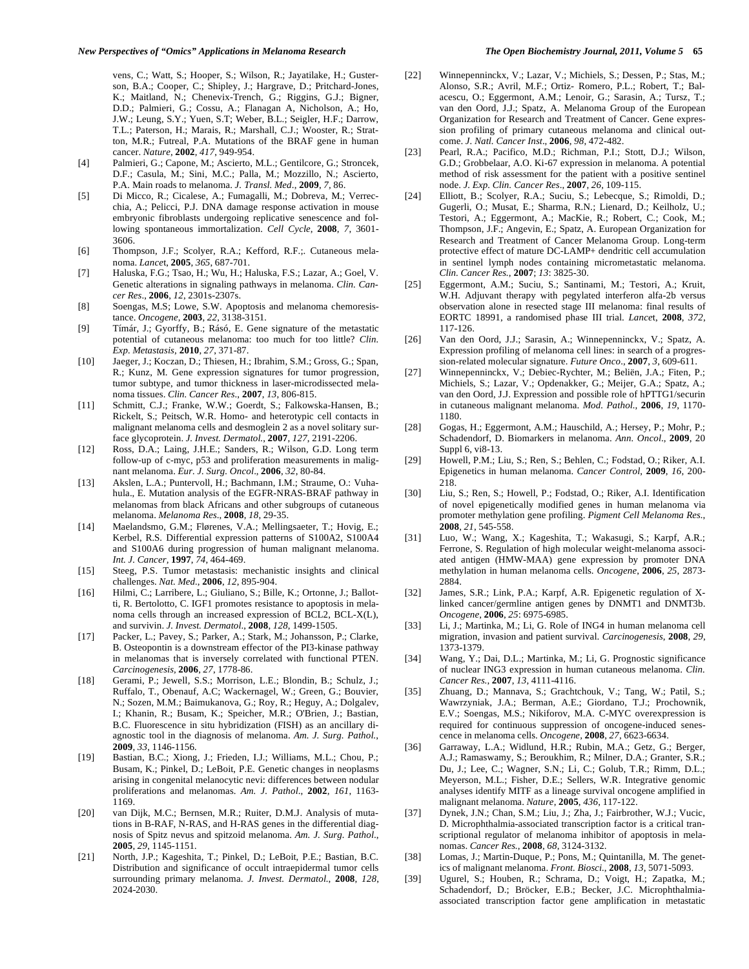vens, C.; Watt, S.; Hooper, S.; Wilson, R.; Jayatilake, H.; Gusterson, B.A.; Cooper, C.; Shipley, J.; Hargrave, D.; Pritchard-Jones, K.; Maitland, N.; Chenevix-Trench, G.; Riggins, G.J.; Bigner, D.D.; Palmieri, G.; Cossu, A.; Flanagan A, Nicholson, A.; Ho, J.W.; Leung, S.Y.; Yuen, S.T; Weber, B.L.; Seigler, H.F.; Darrow, T.L.; Paterson, H.; Marais, R.; Marshall, C.J.; Wooster, R.; Stratton, M.R.; Futreal, P.A. Mutations of the BRAF gene in human cancer. *Nature*, **2002**, *417*, 949-954.

- [4] Palmieri, G.; Capone, M.; Ascierto, M.L.; Gentilcore, G.; Stroncek, D.F.; Casula, M.; Sini, M.C.; Palla, M.; Mozzillo, N.; Ascierto, P.A. Main roads to melanoma. *J. Transl. Med*., **2009**, *7,* 86.
- [5] Di Micco, R.; Cicalese, A.; Fumagalli, M.; Dobreva, M.; Verrecchia, A.; Pelicci, P.J. DNA damage response activation in mouse embryonic fibroblasts undergoing replicative senescence and following spontaneous immortalization. *Cell Cycle*, **2008**, *7*, 3601- 3606.
- [6] Thompson, J.F.; Scolyer, R.A.; Kefford, R.F.;. Cutaneous melanoma. *Lance*t, **2005**, *365*, 687-701.
- [7] Haluska, F.G.; Tsao, H.; Wu, H.; Haluska, F.S.; Lazar, A.; Goel, V. Genetic alterations in signaling pathways in melanoma. *Clin. Cancer Res*., **2006**, *12*, 2301s-2307s.
- [8] Soengas, M.S; Lowe, S.W. Apoptosis and melanoma chemoresistance. *Oncogene*, **2003**, *22*, 3138-3151*.*
- [9] Tímár, J.; Gyorffy, B.; Rásó, E. Gene signature of the metastatic potential of cutaneous melanoma: too much for too little? *Clin. Exp. Metastasis*, **2010**, *27*, 371-87.
- [10] Jaeger, J.; Koczan, D.; Thiesen, H.; Ibrahim, S.M.; Gross, G.; Span, R.; Kunz, M. Gene expression signatures for tumor progression, tumor subtype, and tumor thickness in laser-microdissected melanoma tissues. *Clin. Cancer Res*., **2007**, *13*, 806-815.
- [11] Schmitt, C.J.; Franke, W.W.; Goerdt, S.; Falkowska-Hansen, B.; Rickelt, S.; Peitsch, W.R. Homo- and heterotypic cell contacts in malignant melanoma cells and desmoglein 2 as a novel solitary surface glycoprotein. *J. Invest. Dermatol.*, **2007**, *127*, 2191-2206.
- [12] Ross, D.A.; Laing, J.H.E.; Sanders, R.; Wilson, G.D. Long term follow-up of c-myc, p53 and proliferation measurements in malignant melanoma. *Eur. J. Surg. Oncol*., **2006**, *32*, 80-84.
- [13] Akslen, L.A.; Puntervoll, H.; Bachmann, I.M.; Straume, O.: Vuhahula., E. Mutation analysis of the EGFR-NRAS-BRAF pathway in melanomas from black Africans and other subgroups of cutaneous melanoma. *Melanoma Res*., **2008**, *18*, 29-35.
- [14] Maelandsmo, G.M.; Flørenes, V.A.; Mellingsaeter, T.; Hovig, E.; Kerbel, R.S. Differential expression patterns of S100A2, S100A4 and S100A6 during progression of human malignant melanoma. *Int. J. Cancer,* **1997**, *74*, 464-469.
- [15] Steeg, P.S. Tumor metastasis: mechanistic insights and clinical challenges. *Nat. Med.*, **2006**, *12*, 895-904.
- [16] Hilmi, C.; Larribere, L.; Giuliano, S.; Bille, K.; Ortonne, J.; Ballotti, R. Bertolotto, C. IGF1 promotes resistance to apoptosis in melanoma cells through an increased expression of BCL2, BCL-X(L), and survivin. *J. Invest. Dermatol*., **2008**, *128*, 1499-1505.
- [17] Packer, L.; Pavey, S.; Parker, A.; Stark, M.; Johansson, P.; Clarke, B. Osteopontin is a downstream effector of the PI3-kinase pathway in melanomas that is inversely correlated with functional PTEN. *Carcinogenesis,* **2006**, *27*, 1778-86.
- [18] Gerami, P.; Jewell, S.S.; Morrison, L.E.; Blondin, B.; Schulz, J.; Ruffalo, T., Obenauf, A.C; Wackernagel, W.; Green, G.; Bouvier, N.; Sozen, M.M.; Baimukanova, G.; Roy, R.; Heguy, A.; Dolgalev, I.; Khanin, R.; Busam, K.; Speicher, M.R.; O'Brien, J.; Bastian, B.C. Fluorescence in situ hybridization (FISH) as an ancillary diagnostic tool in the diagnosis of melanoma. *Am. J. Surg. Pathol.*, **2009**, *33*, 1146-1156*.*
- [19] Bastian, B.C.; Xiong, J.; Frieden, I.J.; Williams, M.L.; Chou, P.; Busam, K.; Pinkel, D.; LeBoit, P.E. Genetic changes in neoplasms arising in congenital melanocytic nevi: differences between nodular proliferations and melanomas. *Am. J. Pathol*., **2002**, *161*, 1163- 1169.
- [20] van Dijk, M.C.; Bernsen, M.R.; Ruiter, D.M.J. Analysis of mutations in B-RAF, N-RAS, and H-RAS genes in the differential diagnosis of Spitz nevus and spitzoid melanoma. *Am. J. Surg. Pathol*., **2005**, *29*, 1145-1151*.*
- [21] North, J.P.; Kageshita, T.; Pinkel, D.; LeBoit, P.E.; Bastian, B.C. Distribution and significance of occult intraepidermal tumor cells surrounding primary melanoma. *J. Invest. Dermatol.*, **2008**, *128*, 2024-2030.
- [22] Winnepenninckx, V.; Lazar, V.; Michiels, S.; Dessen, P.; Stas, M.; Alonso, S.R.; Avril, M.F.; Ortiz- Romero, P.L.; Robert, T.; Balacescu, O.; Eggermont, A.M.; Lenoir, G.; Sarasin, A.; Tursz, T.; van den Oord, J.J.; Spatz, A. Melanoma Group of the European Organization for Research and Treatment of Cancer. Gene expression profiling of primary cutaneous melanoma and clinical outcome. *J. Natl. Cancer Inst*., **2006**, *98*, 472-482.
- [23] Pearl, R.A.; Pacifico, M.D.; Richman, P.I.; Stott, D.J.; Wilson, G.D.; Grobbelaar, A.O. Ki-67 expression in melanoma. A potential method of risk assessment for the patient with a positive sentinel node. *J. Exp. Clin. Cancer Res*., **2007**, *26,* 109-115.
- [24] Elliott, B.; Scolyer, R.A.; Suciu, S.; Lebecque, S.; Rimoldi, D.; Gugerli, O.; Musat, E.; Sharma, R.N.; Lienard, D.; Keilholz, U.; Testori, A.; Eggermont, A.; MacKie, R.; Robert, C.; Cook, M.; Thompson, J.F.; Angevin, E.; Spatz, A. European Organization for Research and Treatment of Cancer Melanoma Group. Long-term protective effect of mature DC-LAMP+ dendritic cell accumulation in sentinel lymph nodes containing micrometastatic melanoma. *Clin. Cancer Res.*, **2007**; *13*: 3825-30.
- [25] Eggermont, A.M.; Suciu, S.; Santinami, M.; Testori, A.; Kruit, W.H. Adjuvant therapy with pegylated interferon alfa-2b versus observation alone in resected stage III melanoma: final results of EORTC 18991, a randomised phase III trial. *Lance*t, **2008**, *372*, 117-126.
- [26] Van den Oord, J.J.; Sarasin, A.; Winnepenninckx, V.; Spatz, A. Expression profiling of melanoma cell lines: in search of a progression-related molecular signature. *Future Onco*., **2007**, *3*, 609-611.
- [27] Winnepenninckx, V.; Debiec-Rychter, M.; Beliën, J.A.; Fiten, P.; Michiels, S.; Lazar, V.; Opdenakker, G.; Meijer, G.A.; Spatz, A.; van den Oord, J.J. Expression and possible role of hPTTG1/securin in cutaneous malignant melanoma. *Mod. Pathol.,* **2006**, *19*, 1170- 1180.
- [28] Gogas, H.; Eggermont, A.M.; Hauschild, A.; Hersey, P.; Mohr, P.; Schadendorf, D. Biomarkers in melanoma. *Ann. Oncol*., **2009**, 20 Suppl 6, vi8-13.
- [29] Howell, P.M.; Liu, S.; Ren, S.; Behlen, C.; Fodstad, O.; Riker, A.I. Epigenetics in human melanoma. *Cancer Control*, **2009**, *16*, 200- 218.
- [30] Liu, S.; Ren, S.; Howell, P.; Fodstad, O.; Riker, A.I. Identification of novel epigenetically modified genes in human melanoma via promoter methylation gene profiling. *Pigment Cell Melanoma Res.*, **2008**, *21*, 545-558.
- [31] Luo, W.; Wang, X.; Kageshita, T.; Wakasugi, S.; Karpf, A.R.; Ferrone, S. Regulation of high molecular weight-melanoma associated antigen (HMW-MAA) gene expression by promoter DNA methylation in human melanoma cells. *Oncogene*, **2006**, *25*, 2873- 2884.
- [32] James, S.R.; Link, P.A.; Karpf, A.R. Epigenetic regulation of Xlinked cancer/germline antigen genes by DNMT1 and DNMT3b. *Oncogene*, **2006**, *25*: 6975-6985.
- [33] Li, J.; Martinka, M.; Li, G. Role of ING4 in human melanoma cell migration, invasion and patient survival. *Carcinogenesis*, **2008**, *29*, 1373-1379.
- [34] Wang, Y.; Dai, D.L.; Martinka, M.; Li, G. Prognostic significance of nuclear ING3 expression in human cutaneous melanoma. *Clin. Cancer Res.*, **2007**, *13*, 4111-4116.
- [35] Zhuang, D.; Mannava, S.; Grachtchouk, V.; Tang, W.; Patil, S.; Wawrzyniak, J.A.; Berman, A.E.; Giordano, T.J.; Prochownik, E.V.; Soengas, M.S.; Nikiforov, M.A. C-MYC overexpression is required for continuous suppression of oncogene-induced senescence in melanoma cells. *Oncogene,* **2008**, *27*, 6623-6634.
- [36] Garraway, L.A.; Widlund, H.R.; Rubin, M.A.; Getz, G.; Berger, A.J.; Ramaswamy, S.; Beroukhim, R.; Milner, D.A.; Granter, S.R.; Du, J.; Lee, C.; Wagner, S.N.; Li, C.; Golub, T.R.; Rimm, D.L.; Meyerson, M.L.; Fisher, D.E.; Sellers, W.R. Integrative genomic analyses identify MITF as a lineage survival oncogene amplified in malignant melanoma. *Nature*, **2005**, *436*, 117-122.
- [37] Dynek, J.N.; Chan, S.M.; Liu, J.; Zha, J.; Fairbrother, W.J.; Vucic, D. Microphthalmia-associated transcription factor is a critical transcriptional regulator of melanoma inhibitor of apoptosis in melanomas. *Cancer Res.*, **2008**, *68*, 3124-3132.
- [38] Lomas, J.; Martin-Duque, P.; Pons, M.; Quintanilla, M. The genetics of malignant melanoma. *Front. Biosci.*, **2008**, *13*, 5071-5093.
- [39] Ugurel, S.; Houben, R.; Schrama, D.; Voigt, H.; Zapatka, M.; Schadendorf, D.; Bröcker, E.B.; Becker, J.C. Microphthalmiaassociated transcription factor gene amplification in metastatic